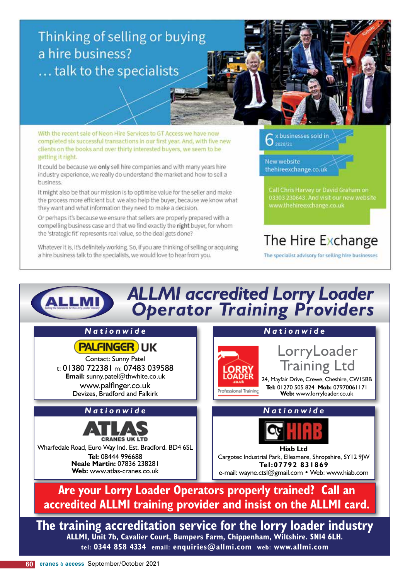#### Thinking of selling or buying a hire business? ... talk to the specialists

With the recent sale of Neon Hire Services to GT Access we have now completed six successful transactions in our first year. And, with five new clients on the books and over thirty interested buyers, we seem to be getting it right.

It could be because we only sell hire companies and with many years hire industry experience, we really do understand the market and how to sell a business.

It might also be that our mission is to optimise value for the seller and make the process more efficient but we also help the buyer, because we know what they want and what information they need to make a decision.

Or perhaps it's because we ensure that sellers are properly prepared with a compelling business case and that we find exactly the right buyer, for whom the 'strategic fit' represents real value, so the deal gets done?

Whatever it is, it's definitely working. So, if you are thinking of selling or acquiring a hire business talk to the specialists, we would love to hear from you.

x businesses sold in 2020/21

New website thehireexchange.co.uk

### The Hire Exchange

The specialist advisory for selling hire businesses

#### ALLMI accredited Lorry Loader<br>Operator Training Providers **ALLMI** Nationwide Nationwide **PALFINGER** UK LorryLoader **Contact: Sunny Patel Training Ltd** t: 01380 722381 m: 07483 039588 Email: sunny.patel@thwhite.co.uk 24, Mayfair Drive, Crewe, Cheshire, CW15BB www.palfinger.co.uk Tel: 01270 505 824 Mob: 07970061171 Professional Training Devizes, Bradford and Falkirk Web: www.lorryloader.co.uk Nationwide Nationwide **CRANES UK LTD** Wharfedale Road, Euro Way Ind. Est. Bradford. BD4 6SL **Hiab Ltd** Tel: 08444 996688 Cargotec Industrial Park, Ellesmere, Shropshire, SY12 9IW Neale Martin: 07836 238281 Tel:07792 831869 Web: www.atlas-cranes.co.uk e-mail: wayne.ctsl@gmail.com • Web: www.hiab.com Are your Lorry Loader Operators properly trained? Call an accredited ALLMI training provider and insist on the ALLMI card.

The training accreditation service for the lorry loader industry ALLMI, Unit 7b, Cavalier Court, Bumpers Farm, Chippenham, Wiltshire. SNI4 6LH. tel: 0344 858 4334 email: enquiries@allmi.com web: www.allmi.com